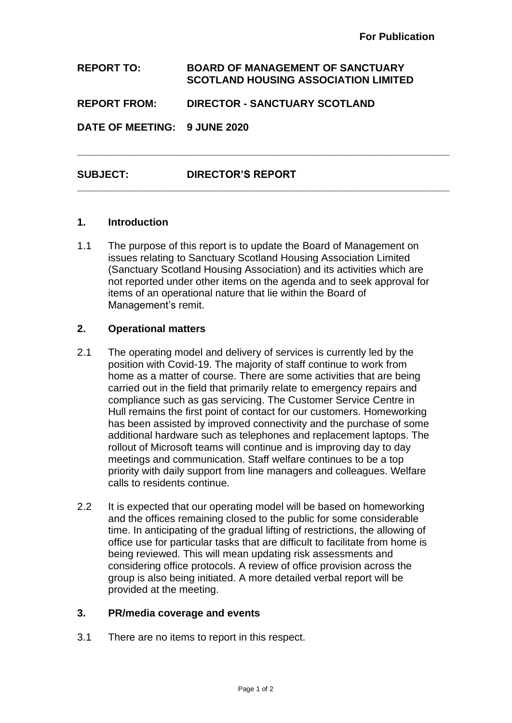**REPORT TO: BOARD OF MANAGEMENT OF SANCTUARY SCOTLAND HOUSING ASSOCIATION LIMITED REPORT FROM: DIRECTOR - SANCTUARY SCOTLAND DATE OF MEETING: 9 JUNE 2020** 

**\_\_\_\_\_\_\_\_\_\_\_\_\_\_\_\_\_\_\_\_\_\_\_\_\_\_\_\_\_\_\_\_\_\_\_\_\_\_\_\_\_\_\_\_\_\_\_\_\_\_\_\_\_\_\_\_\_\_\_\_\_\_\_\_\_**

**\_\_\_\_\_\_\_\_\_\_\_\_\_\_\_\_\_\_\_\_\_\_\_\_\_\_\_\_\_\_\_\_\_\_\_\_\_\_\_\_\_\_\_\_\_\_\_\_\_\_\_\_\_\_\_\_\_\_\_\_\_\_\_\_\_**

# **SUBJECT: DIRECTOR'S REPORT**

### **1. Introduction**

1.1 The purpose of this report is to update the Board of Management on issues relating to Sanctuary Scotland Housing Association Limited (Sanctuary Scotland Housing Association) and its activities which are not reported under other items on the agenda and to seek approval for items of an operational nature that lie within the Board of Management's remit.

#### **2. Operational matters**

- 2.1 The operating model and delivery of services is currently led by the position with Covid-19. The majority of staff continue to work from home as a matter of course. There are some activities that are being carried out in the field that primarily relate to emergency repairs and compliance such as gas servicing. The Customer Service Centre in Hull remains the first point of contact for our customers. Homeworking has been assisted by improved connectivity and the purchase of some additional hardware such as telephones and replacement laptops. The rollout of Microsoft teams will continue and is improving day to day meetings and communication. Staff welfare continues to be a top priority with daily support from line managers and colleagues. Welfare calls to residents continue.
- 2.2 It is expected that our operating model will be based on homeworking and the offices remaining closed to the public for some considerable time. In anticipating of the gradual lifting of restrictions, the allowing of office use for particular tasks that are difficult to facilitate from home is being reviewed. This will mean updating risk assessments and considering office protocols. A review of office provision across the group is also being initiated. A more detailed verbal report will be provided at the meeting.

#### **3. PR/media coverage and events**

3.1 There are no items to report in this respect.